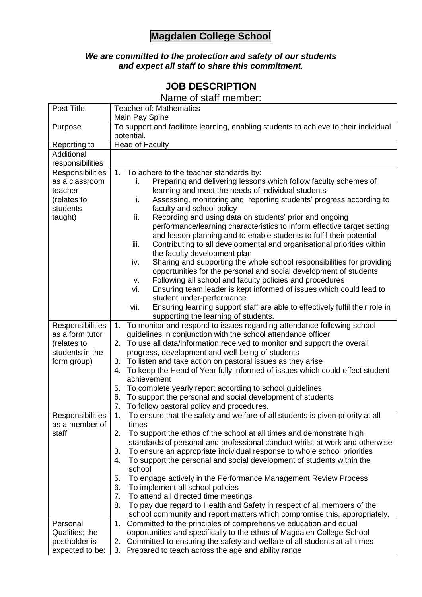## **Magdalen College School**

## *We are committed to the protection and safety of our students and expect all staff to share this commitment.*

## **JOB DESCRIPTION**

Name of staff member:

| Post Title                         | <b>Teacher of: Mathematics</b><br>Main Pay Spine                                                                                                   |
|------------------------------------|----------------------------------------------------------------------------------------------------------------------------------------------------|
| Purpose                            | To support and facilitate learning, enabling students to achieve to their individual<br>potential.                                                 |
| Reporting to                       | <b>Head of Faculty</b>                                                                                                                             |
| Additional                         |                                                                                                                                                    |
| responsibilities                   |                                                                                                                                                    |
| Responsibilities                   | 1. To adhere to the teacher standards by:                                                                                                          |
| as a classroom                     | Preparing and delivering lessons which follow faculty schemes of<br>i.                                                                             |
| teacher                            | learning and meet the needs of individual students                                                                                                 |
| (relates to                        | Assessing, monitoring and reporting students' progress according to<br>i.                                                                          |
| students                           | faculty and school policy                                                                                                                          |
| taught)                            | Recording and using data on students' prior and ongoing<br>ii.                                                                                     |
|                                    | performance/learning characteristics to inform effective target setting                                                                            |
|                                    | and lesson planning and to enable students to fulfil their potential                                                                               |
|                                    | Contributing to all developmental and organisational priorities within<br>iii.                                                                     |
|                                    | the faculty development plan                                                                                                                       |
|                                    | Sharing and supporting the whole school responsibilities for providing<br>iv.<br>opportunities for the personal and social development of students |
|                                    | Following all school and faculty policies and procedures<br>v.                                                                                     |
|                                    | Ensuring team leader is kept informed of issues which could lead to<br>vi.                                                                         |
|                                    | student under-performance                                                                                                                          |
|                                    | vii.<br>Ensuring learning support staff are able to effectively fulfil their role in                                                               |
|                                    | supporting the learning of students.                                                                                                               |
| Responsibilities                   | To monitor and respond to issues regarding attendance following school<br>1.                                                                       |
| as a form tutor                    | guidelines in conjunction with the school attendance officer                                                                                       |
| (relates to                        | 2. To use all data/information received to monitor and support the overall                                                                         |
| students in the                    | progress, development and well-being of students                                                                                                   |
| form group)                        | 3. To listen and take action on pastoral issues as they arise                                                                                      |
|                                    | To keep the Head of Year fully informed of issues which could effect student<br>4.                                                                 |
|                                    | achievement                                                                                                                                        |
|                                    | To complete yearly report according to school guidelines<br>5.                                                                                     |
|                                    | To support the personal and social development of students<br>6.                                                                                   |
|                                    | 7. To follow pastoral policy and procedures.                                                                                                       |
| Responsibilities<br>as a member of | 1.<br>To ensure that the safety and welfare of all students is given priority at all<br>times                                                      |
| staff                              | 2.<br>To support the ethos of the school at all times and demonstrate high                                                                         |
|                                    | standards of personal and professional conduct whilst at work and otherwise                                                                        |
|                                    | To ensure an appropriate individual response to whole school priorities<br>3.                                                                      |
|                                    | To support the personal and social development of students within the<br>4.                                                                        |
|                                    | school                                                                                                                                             |
|                                    | To engage actively in the Performance Management Review Process<br>5.                                                                              |
|                                    | To implement all school policies<br>6.                                                                                                             |
|                                    | 7.<br>To attend all directed time meetings                                                                                                         |
|                                    | To pay due regard to Health and Safety in respect of all members of the<br>8.                                                                      |
|                                    | school community and report matters which compromise this, appropriately.                                                                          |
| Personal                           | Committed to the principles of comprehensive education and equal<br>1.                                                                             |
| Qualities; the                     | opportunities and specifically to the ethos of Magdalen College School                                                                             |
| postholder is                      | Committed to ensuring the safety and welfare of all students at all times<br>2.                                                                    |
| expected to be:                    | 3.<br>Prepared to teach across the age and ability range                                                                                           |